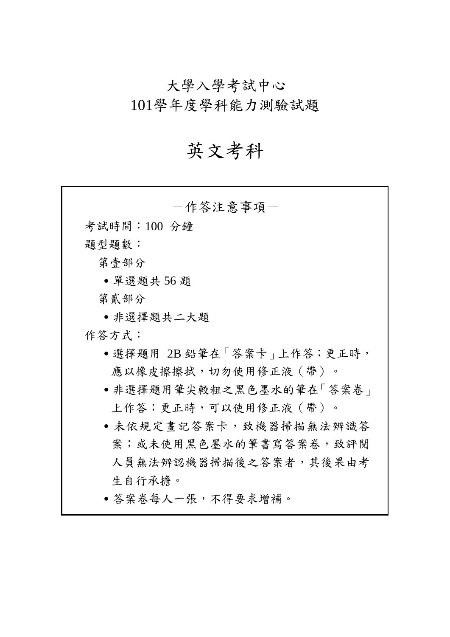# 大學入學考試中心

101學年度學科能力測驗試題

# 英文考科

| 一作答注意事項-                    |
|-----------------------------|
|                             |
| 考試時間:100 分鐘                 |
| 題型題數:                       |
| 第壹部分                        |
| • 單選題共 56題                  |
| 第貳部分                        |
| ●非選擇題共二大題                   |
| 作答方式:                       |
| •選擇題用 2B 鉛筆在「答案卡   上作答;更正時, |
| 應以橡皮擦擦拭,切勿使用修正液(帶)。         |
| • 非選擇題用筆尖較粗之黑色墨水的筆在 答案卷 ;   |
| 上作答;更正時,可以使用修正液(帶)。         |
| • 未依規定畫記答案卡,致機器掃描無法辨識答      |
| 案;或未使用黑色墨水的筆書寫答案卷,致評閱       |
| 人員無法辨認機器掃描後之答案者,其後果由考       |
| 生自行承擔。                      |
| • 答案卷每人一張,不得要求增補。           |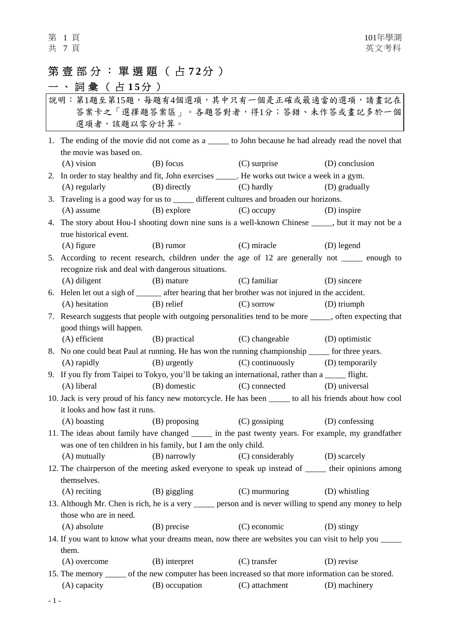# 第壹部分:單選題(占 **7 2**分 )

# 一、詞彙(占15分)

| 說明:第1題至第15題,每題有4個選項,其中只有一個是正確或最適當的選項,請畫記在<br>答案卡之「選擇題答案區」。各題答對者,得1分;答錯、未作答或畫記多於一個<br>選項者,該題以零分計算。         |                |                                            |                 |  |  |
|-----------------------------------------------------------------------------------------------------------|----------------|--------------------------------------------|-----------------|--|--|
| 1. The ending of the movie did not come as a ______ to John because he had already read the novel that    |                |                                            |                 |  |  |
| the movie was based on.                                                                                   |                |                                            |                 |  |  |
| $(A)$ vision                                                                                              | (B) focus      | $(C)$ surprise                             | (D) conclusion  |  |  |
| 2. In order to stay healthy and fit, John exercises ______. He works out twice a week in a gym.           |                |                                            |                 |  |  |
| $(A)$ regularly                                                                                           |                | (B) directly (C) hardly                    | (D) gradually   |  |  |
| 3. Traveling is a good way for us to ______ different cultures and broaden our horizons.                  |                |                                            |                 |  |  |
| $(A)$ assume                                                                                              | (B) explore    | $(C)$ occupy                               | (D) inspire     |  |  |
| 4. The story about Hou-I shooting down nine suns is a well-known Chinese _____, but it may not be a       |                |                                            |                 |  |  |
| true historical event.                                                                                    |                |                                            |                 |  |  |
| $(A)$ figure                                                                                              | $(B)$ rumor    | (C) miracle                                | (D) legend      |  |  |
| 5. According to recent research, children under the age of 12 are generally not ______ enough to          |                |                                            |                 |  |  |
| recognize risk and deal with dangerous situations.                                                        |                |                                            |                 |  |  |
| $(A)$ diligent                                                                                            | (B) mature     | (C) familiar                               | (D) sincere     |  |  |
| 6. Helen let out a sigh of _______ after hearing that her brother was not injured in the accident.        |                |                                            |                 |  |  |
| (A) hesitation                                                                                            | (B) relief     | $(C)$ sorrow                               | (D) triumph     |  |  |
| 7. Research suggests that people with outgoing personalities tend to be more _____, often expecting that  |                |                                            |                 |  |  |
| good things will happen.                                                                                  |                |                                            |                 |  |  |
| $(A)$ efficient                                                                                           | (B) practical  | (C) changeable (D) optimistic              |                 |  |  |
| 8. No one could beat Paul at running. He has won the running championship _____ for three years.          |                |                                            |                 |  |  |
| (A) rapidly                                                                                               | (B) urgently   | (C) continuously                           | (D) temporarily |  |  |
| 9. If you fly from Taipei to Tokyo, you'll be taking an international, rather than a _____ flight.        |                |                                            |                 |  |  |
| (A) liberal                                                                                               | (B) domestic   | (C) connected                              | (D) universal   |  |  |
| 10. Jack is very proud of his fancy new motorcycle. He has been ______ to all his friends about how cool  |                |                                            |                 |  |  |
| it looks and how fast it runs.                                                                            |                |                                            |                 |  |  |
| (A) boasting                                                                                              |                | (B) proposing (C) gossiping (D) confessing |                 |  |  |
| 11. The ideas about family have changed _______ in the past twenty years. For example, my grandfather     |                |                                            |                 |  |  |
| was one of ten children in his family, but I am the only child.                                           |                |                                            |                 |  |  |
| $(A)$ mutually                                                                                            | (B) narrowly   | (C) considerably                           | (D) scarcely    |  |  |
| 12. The chairperson of the meeting asked everyone to speak up instead of ______ their opinions among      |                |                                            |                 |  |  |
| themselves.                                                                                               |                |                                            |                 |  |  |
| $(A)$ reciting                                                                                            | $(B)$ giggling | (C) murmuring                              | (D) whistling   |  |  |
| 13. Although Mr. Chen is rich, he is a very ______ person and is never willing to spend any money to help |                |                                            |                 |  |  |
| those who are in need.                                                                                    |                |                                            |                 |  |  |
| (A) absolute                                                                                              | (B) precise    | (C) economic                               | (D) stingy      |  |  |
| 14. If you want to know what your dreams mean, now there are websites you can visit to help you _____     |                |                                            |                 |  |  |
| them.                                                                                                     |                |                                            |                 |  |  |
| (A) overcome                                                                                              | (B) interpret  | (C) transfer                               | (D) revise      |  |  |
| 15. The memory ______ of the new computer has been increased so that more information can be stored.      |                |                                            |                 |  |  |
| (A) capacity                                                                                              | (B) occupation | (C) attachment                             | (D) machinery   |  |  |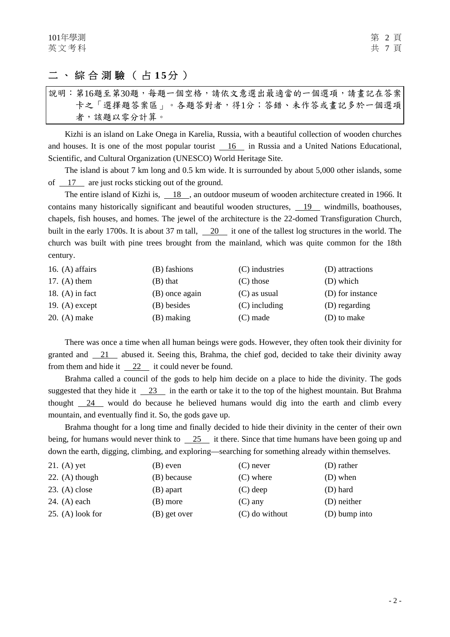### 二、綜合測驗(占 **1 5** 分 )

| 說明︰第16題至第30題,每題一個空格,請依文意選出最適當的一個選項,請畫記在答案 |  |  |
|-------------------------------------------|--|--|
| 卡之「選擇題答案區」。各題答對者,得1分;答錯、未作答或畫記多於一個選項      |  |  |
| 者,該題以零分計算。                                |  |  |

Kizhi is an island on Lake Onega in Karelia, Russia, with a beautiful collection of wooden churches and houses. It is one of the most popular tourist 16 in Russia and a United Nations Educational, Scientific, and Cultural Organization (UNESCO) World Heritage Site.

The island is about 7 km long and 0.5 km wide. It is surrounded by about 5,000 other islands, some of 17 are just rocks sticking out of the ground.

The entire island of Kizhi is, 18, an outdoor museum of wooden architecture created in 1966. It contains many historically significant and beautiful wooden structures, 19 windmills, boathouses, chapels, fish houses, and homes. The jewel of the architecture is the 22-domed Transfiguration Church, built in the early 1700s. It is about 37 m tall, 20 it one of the tallest log structures in the world. The church was built with pine trees brought from the mainland, which was quite common for the 18th century.

| 16. $(A)$ affairs | (B) fashions   | (C) industries  | (D) attractions  |
|-------------------|----------------|-----------------|------------------|
| 17. $(A)$ them    | (B) that       | $(C)$ those     | (D) which        |
| 18. $(A)$ in fact | (B) once again | $(C)$ as usual  | (D) for instance |
| 19. $(A)$ except  | (B) besides    | $(C)$ including | (D) regarding    |
| $20. (A)$ make    | (B) making     | $(C)$ made      | (D) to make      |

There was once a time when all human beings were gods. However, they often took their divinity for granted and 21 abused it. Seeing this, Brahma, the chief god, decided to take their divinity away from them and hide it 22 it could never be found.

Brahma called a council of the gods to help him decide on a place to hide the divinity. The gods suggested that they hide it  $\frac{23}{10}$  in the earth or take it to the top of the highest mountain. But Brahma thought 24 would do because he believed humans would dig into the earth and climb every mountain, and eventually find it. So, the gods gave up.

Brahma thought for a long time and finally decided to hide their divinity in the center of their own being, for humans would never think to 25 it there. Since that time humans have been going up and down the earth, digging, climbing, and exploring—searching for something already within themselves.

| $21. (A)$ yet    | (B) even     | $(C)$ never      | (D) rather    |
|------------------|--------------|------------------|---------------|
| $22. (A)$ though | (B) because  | $(C)$ where      | $(D)$ when    |
| 23. (A) close    | (B) apart    | $(C)$ deep       | (D) hard      |
| 24. (A) each     | (B) more     | $(C)$ any        | (D) neither   |
| 25. (A) look for | (B) get over | $(C)$ do without | (D) bump into |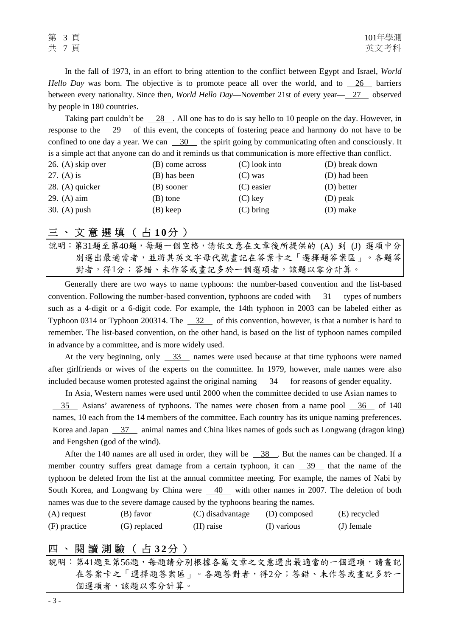In the fall of 1973, in an effort to bring attention to the conflict between Egypt and Israel, *World Hello Day* was born. The objective is to promote peace all over the world, and to 26 barriers between every nationality. Since then, *World Hello Day*—November 21st of every year— 27 observed by people in 180 countries.

Taking part couldn't be 28 . All one has to do is say hello to 10 people on the day. However, in response to the 29 of this event, the concepts of fostering peace and harmony do not have to be confined to one day a year. We can  $\frac{30}{10}$  the spirit going by communicating often and consciously. It is a simple act that anyone can do and it reminds us that communication is more effective than conflict.

| 26. (A) skip over | (B) come across | $(C)$ look into | (D) break down |
|-------------------|-----------------|-----------------|----------------|
| 27. (A) is        | (B) has been    | $(C)$ was       | (D) had been   |
| 28. (A) quicker   | (B) sooner      | $(C)$ easier    | (D) better     |
| 29. $(A)$ aim     | (B) tone        | $(C)$ key       | (D) peak       |
| 30. $(A)$ push    | (B) keep        | $(C)$ bring     | (D) make       |

### 三、文意選填(占 **1 0** 分 )

| 說明:第31題至第40題,每題一個空格,請依文意在文章後所提供的 (A) 到 (J) 選項中分 |  |
|-------------------------------------------------|--|
| 別選出最適當者,並將其英文字母代號畫記在答案卡之「選擇題答案區」。各題答            |  |
| 對者,得1分;答錯、未作答或畫記多於一個選項者,該題以零分計算。                |  |

Generally there are two ways to name typhoons: the number-based convention and the list-based convention. Following the number-based convention, typhoons are coded with 31 types of numbers such as a 4-digit or a 6-digit code. For example, the 14th typhoon in 2003 can be labeled either as Typhoon 0314 or Typhoon 200314. The  $\frac{32}{ }$  of this convention, however, is that a number is hard to remember. The list-based convention, on the other hand, is based on the list of typhoon names compiled in advance by a committee, and is more widely used.

At the very beginning, only 33 names were used because at that time typhoons were named after girlfriends or wives of the experts on the committee. In 1979, however, male names were also included because women protested against the original naming 34 for reasons of gender equality.

In Asia, Western names were used until 2000 when the committee decided to use Asian names to 35 Asians' awareness of typhoons. The names were chosen from a name pool 36 of 140 names, 10 each from the 14 members of the committee. Each country has its unique naming preferences. Korea and Japan 37 animal names and China likes names of gods such as Longwang (dragon king) and Fengshen (god of the wind).

After the 140 names are all used in order, they will be 38. But the names can be changed. If a member country suffers great damage from a certain typhoon, it can 39 that the name of the typhoon be deleted from the list at the annual committee meeting. For example, the names of Nabi by South Korea, and Longwang by China were 40 with other names in 2007. The deletion of both names was due to the severe damage caused by the typhoons bearing the names.

| $(A)$ request | (B) favor    | (C) disadvantage | (D) composed | (E) recycled |
|---------------|--------------|------------------|--------------|--------------|
| (F) practice  | (G) replaced | (H) raise        | (I) various  | $(J)$ female |

### 四、閱讀測驗(占 **3 2** 分 )

說明︰第41題至第56題,每題請分別根據各篇文章之文意選出最適當的一個選項,請畫記 在答案卡之「選擇題答案區」。各題答對者,得2分;答錯、未作答或畫記多於一 個選項者,該題以零分計算。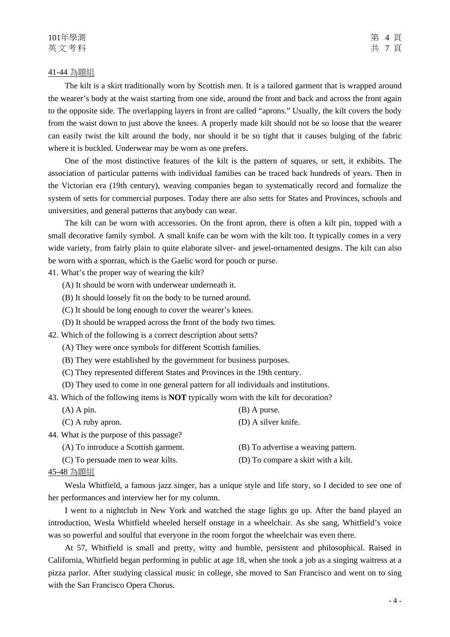#### 41-44 為題組

The kilt is a skirt traditionally worn by Scottish men. It is a tailored garment that is wrapped around the wearer's body at the waist starting from one side, around the front and back and across the front again to the opposite side. The overlapping layers in front are called "aprons." Usually, the kilt covers the body from the waist down to just above the knees. A properly made kilt should not be so loose that the wearer can easily twist the kilt around the body, nor should it be so tight that it causes bulging of the fabric where it is buckled. Underwear may be worn as one prefers.

One of the most distinctive features of the kilt is the pattern of squares, or sett, it exhibits. The association of particular patterns with individual families can be traced back hundreds of years. Then in the Victorian era (19th century), weaving companies began to systematically record and formalize the system of setts for commercial purposes. Today there are also setts for States and Provinces, schools and universities, and general patterns that anybody can wear.

The kilt can be worn with accessories. On the front apron, there is often a kilt pin, topped with a small decorative family symbol. A small knife can be worn with the kilt too. It typically comes in a very wide variety, from fairly plain to quite elaborate silver- and jewel-ornamented designs. The kilt can also be worn with a sporran, which is the Gaelic word for pouch or purse.

- 41. What's the proper way of wearing the kilt?
	- (A) It should be worn with underwear underneath it.
	- (B) It should loosely fit on the body to be turned around.
	- (C) It should be long enough to cover the wearer's knees.
	- (D) It should be wrapped across the front of the body two times.
- 42. Which of the following is a correct description about setts?
	- (A) They were once symbols for different Scottish families.
	- (B) They were established by the government for business purposes.
	- (C) They represented different States and Provinces in the 19th century.
	- (D) They used to come in one general pattern for all individuals and institutions.

43. Which of the following items is **NOT** typically worn with the kilt for decoration?

- $(A)$  A pin. (B) A purse. (C) A ruby apron. (D) A silver knife.
- 44. What is the purpose of this passage?
	- (A) To introduce a Scottish garment. (B) To advertise a weaving pattern.
	- (C) To persuade men to wear kilts. (D) To compare a skirt with a kilt.

#### 45-48 為題組

Wesla Whitfield, a famous jazz singer, has a unique style and life story, so I decided to see one of her performances and interview her for my column.

I went to a nightclub in New York and watched the stage lights go up. After the band played an introduction, Wesla Whitfield wheeled herself onstage in a wheelchair. As she sang, Whitfield's voice was so powerful and soulful that everyone in the room forgot the wheelchair was even there.

At 57, Whitfield is small and pretty, witty and humble, persistent and philosophical. Raised in California, Whitfield began performing in public at age 18, when she took a job as a singing waitress at a pizza parlor. After studying classical music in college, she moved to San Francisco and went on to sing with the San Francisco Opera Chorus.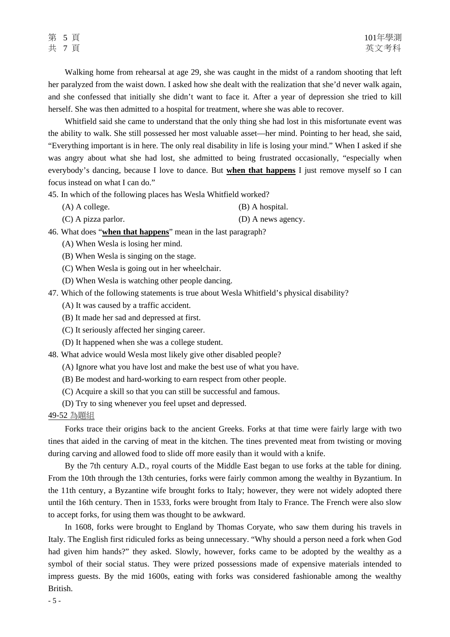Walking home from rehearsal at age 29, she was caught in the midst of a random shooting that left her paralyzed from the waist down. I asked how she dealt with the realization that she'd never walk again, and she confessed that initially she didn't want to face it. After a year of depression she tried to kill herself. She was then admitted to a hospital for treatment, where she was able to recover.

Whitfield said she came to understand that the only thing she had lost in this misfortunate event was the ability to walk. She still possessed her most valuable asset—her mind. Pointing to her head, she said, "Everything important is in here. The only real disability in life is losing your mind." When I asked if she was angry about what she had lost, she admitted to being frustrated occasionally, "especially when everybody's dancing, because I love to dance. But **when that happens** I just remove myself so I can focus instead on what I can do."

45. In which of the following places has Wesla Whitfield worked?

- (A) A college. (B) A hospital.
- (C) A pizza parlor. (D) A news agency.

46. What does "**when that happens**" mean in the last paragraph?

(A) When Wesla is losing her mind.

- (B) When Wesla is singing on the stage.
- (C) When Wesla is going out in her wheelchair.
- (D) When Wesla is watching other people dancing.

47. Which of the following statements is true about Wesla Whitfield's physical disability?

- (A) It was caused by a traffic accident.
- (B) It made her sad and depressed at first.
- (C) It seriously affected her singing career.
- (D) It happened when she was a college student.
- 48. What advice would Wesla most likely give other disabled people?
	- (A) Ignore what you have lost and make the best use of what you have.
	- (B) Be modest and hard-working to earn respect from other people.
	- (C) Acquire a skill so that you can still be successful and famous.
	- (D) Try to sing whenever you feel upset and depressed.

#### 49-52 為題組

Forks trace their origins back to the ancient Greeks. Forks at that time were fairly large with two tines that aided in the carving of meat in the kitchen. The tines prevented meat from twisting or moving during carving and allowed food to slide off more easily than it would with a knife.

By the 7th century A.D., royal courts of the Middle East began to use forks at the table for dining. From the 10th through the 13th centuries, forks were fairly common among the wealthy in Byzantium. In the 11th century, a Byzantine wife brought forks to Italy; however, they were not widely adopted there until the 16th century. Then in 1533, forks were brought from Italy to France. The French were also slow to accept forks, for using them was thought to be awkward.

In 1608, forks were brought to England by Thomas Coryate, who saw them during his travels in Italy. The English first ridiculed forks as being unnecessary. "Why should a person need a fork when God had given him hands?" they asked. Slowly, however, forks came to be adopted by the wealthy as a symbol of their social status. They were prized possessions made of expensive materials intended to impress guests. By the mid 1600s, eating with forks was considered fashionable among the wealthy British.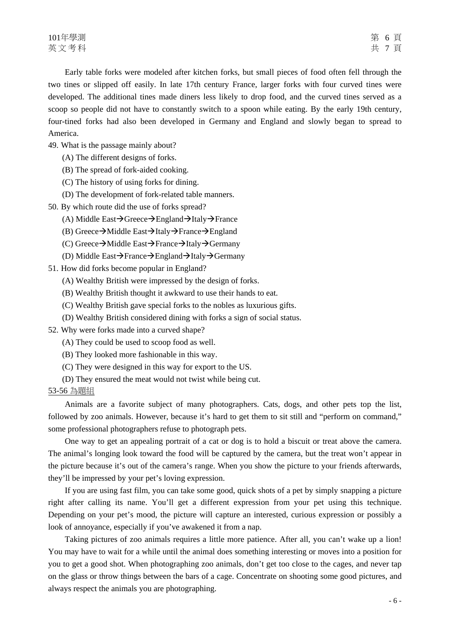Early table forks were modeled after kitchen forks, but small pieces of food often fell through the two tines or slipped off easily. In late 17th century France, larger forks with four curved tines were developed. The additional tines made diners less likely to drop food, and the curved tines served as a scoop so people did not have to constantly switch to a spoon while eating. By the early 19th century, four-tined forks had also been developed in Germany and England and slowly began to spread to America.

- 49. What is the passage mainly about?
	- (A) The different designs of forks.
	- (B) The spread of fork-aided cooking.
	- (C) The history of using forks for dining.
	- (D) The development of fork-related table manners.
- 50. By which route did the use of forks spread?
	- (A) Middle East $\rightarrow$ Greece $\rightarrow$ England $\rightarrow$ Italy $\rightarrow$ France
	- (B) Greece $\rightarrow$ Middle East $\rightarrow$ Italy $\rightarrow$ France $\rightarrow$ England
	- (C) Greece $\rightarrow$ Middle East $\rightarrow$ France $\rightarrow$ Italy $\rightarrow$ Germany
	- (D) Middle East $\rightarrow$ France $\rightarrow$ England $\rightarrow$ Italy $\rightarrow$ Germany
- 51. How did forks become popular in England?
	- (A) Wealthy British were impressed by the design of forks.
	- (B) Wealthy British thought it awkward to use their hands to eat.
	- (C) Wealthy British gave special forks to the nobles as luxurious gifts.
	- (D) Wealthy British considered dining with forks a sign of social status.
- 52. Why were forks made into a curved shape?
	- (A) They could be used to scoop food as well.
	- (B) They looked more fashionable in this way.
	- (C) They were designed in this way for export to the US.
	- (D) They ensured the meat would not twist while being cut.

#### 53-56 為題組

Animals are a favorite subject of many photographers. Cats, dogs, and other pets top the list, followed by zoo animals. However, because it's hard to get them to sit still and "perform on command," some professional photographers refuse to photograph pets.

One way to get an appealing portrait of a cat or dog is to hold a biscuit or treat above the camera. The animal's longing look toward the food will be captured by the camera, but the treat won't appear in the picture because it's out of the camera's range. When you show the picture to your friends afterwards, they'll be impressed by your pet's loving expression.

If you are using fast film, you can take some good, quick shots of a pet by simply snapping a picture right after calling its name. You'll get a different expression from your pet using this technique. Depending on your pet's mood, the picture will capture an interested, curious expression or possibly a look of annoyance, especially if you've awakened it from a nap.

Taking pictures of zoo animals requires a little more patience. After all, you can't wake up a lion! You may have to wait for a while until the animal does something interesting or moves into a position for you to get a good shot. When photographing zoo animals, don't get too close to the cages, and never tap on the glass or throw things between the bars of a cage. Concentrate on shooting some good pictures, and always respect the animals you are photographing.